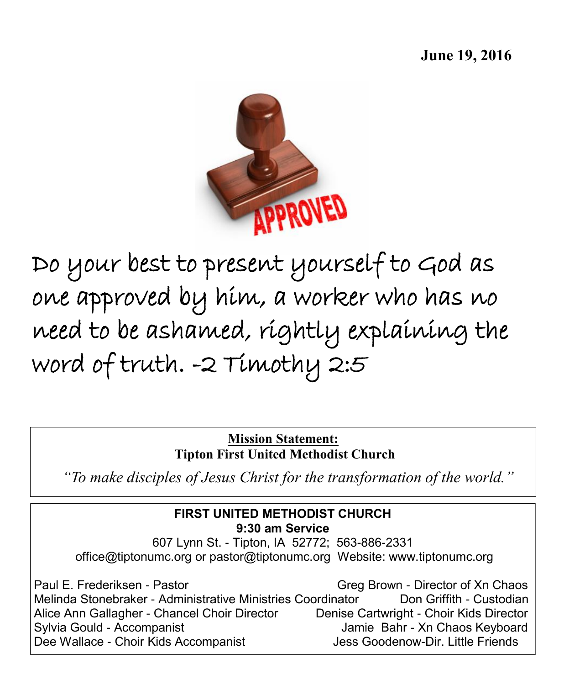

Do your best to present yourself to God as one approved by him, a worker who has no need to be ashamed, rightly explaining the word of truth. -2 Timothy 2:5

> **Mission Statement: Tipton First United Methodist Church**

*"To make disciples of Jesus Christ for the transformation of the world."*

## **FIRST UNITED METHODIST CHURCH 9:30 am Service** 607 Lynn St. - Tipton, IA 52772; 563-886-2331 office@tiptonumc.org or pastor@tiptonumc.org Website: www.tiptonumc.org

Paul E. Frederiksen - Pastor Greg Greg Brown - Director of Xn Chaos Melinda Stonebraker - Administrative Ministries Coordinator Don Griffith - Custodian Alice Ann Gallagher - Chancel Choir Director Denise Cartwright - Choir Kids Director Sylvia Gould - Accompanist **Jamie Bahr - Xn Chaos Keyboard** Dee Wallace - Choir Kids Accompanist Jess Goodenow-Dir. Little Friends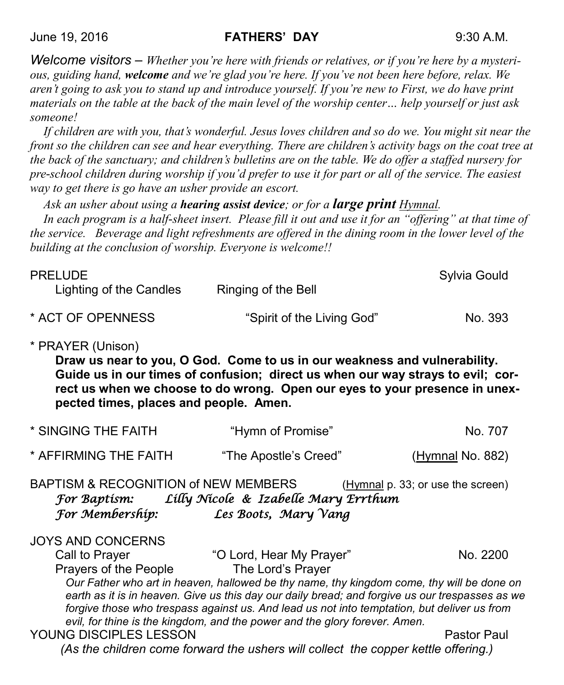*Welcome visitors – Whether you're here with friends or relatives, or if you're here by a mysterious, guiding hand, welcome and we're glad you're here. If you've not been here before, relax. We aren't going to ask you to stand up and introduce yourself. If you're new to First, we do have print materials on the table at the back of the main level of the worship center… help yourself or just ask someone!*

*If children are with you, that's wonderful. Jesus loves children and so do we. You might sit near the front so the children can see and hear everything. There are children's activity bags on the coat tree at the back of the sanctuary; and children's bulletins are on the table. We do offer a staffed nursery for pre-school children during worship if you'd prefer to use it for part or all of the service. The easiest way to get there is go have an usher provide an escort.* 

*Ask an usher about using a hearing assist device; or for a large print Hymnal.* 

*In each program is a half-sheet insert. Please fill it out and use it for an "offering" at that time of the service. Beverage and light refreshments are offered in the dining room in the lower level of the building at the conclusion of worship. Everyone is welcome!!*

| <b>PRELUDE</b><br>Lighting of the Candles | Ringing of the Bell        | Sylvia Gould |
|-------------------------------------------|----------------------------|--------------|
| * ACT OF OPENNESS                         | "Spirit of the Living God" | No. 393      |

#### \* PRAYER (Unison)

**Draw us near to you, O God. Come to us in our weakness and vulnerability. Guide us in our times of confusion; direct us when our way strays to evil; correct us when we choose to do wrong. Open our eyes to your presence in unexpected times, places and people. Amen.**

| * SINGING THE FAITH   | "Hymn of Promise"     | No. 707                 |
|-----------------------|-----------------------|-------------------------|
| * AFFIRMING THE FAITH | "The Apostle's Creed" | <u>(Hymnal</u> No. 882) |

BAPTISM & RECOGNITION of NEW MEMBERS (Hymnal p. 33; or use the screen) *For Baptism: Lilly Nicole & Izabelle Mary Errthum For Membership: Les Boots, Mary Vang* 

JOYS AND CONCERNS Call to Prayer **Call to Prayer 10 Condensity** Call to Prayer **No. 2200** Prayers of the People The Lord's Prayer *Our Father who art in heaven, hallowed be thy name, thy kingdom come, thy will be done on earth as it is in heaven. Give us this day our daily bread; and forgive us our trespasses as we forgive those who trespass against us. And lead us not into temptation, but deliver us from evil, for thine is the kingdom, and the power and the glory forever. Amen.*  YOUNG DISCIPLES LESSON Pastor Paul

*(As the children come forward the ushers will collect the copper kettle offering.)*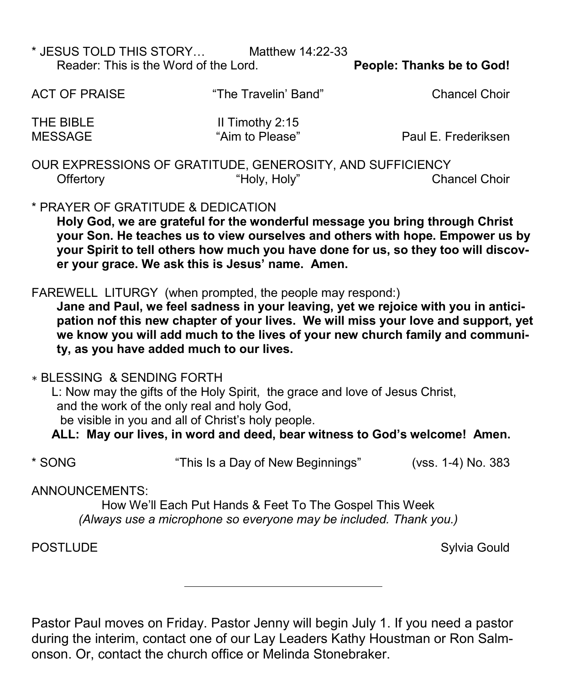| * JESUS TOLD THIS STORY               | Matthew 14:22-33 |                                  |
|---------------------------------------|------------------|----------------------------------|
| Reader: This is the Word of the Lord. |                  | <b>People: Thanks be to God!</b> |

| <b>ACT OF PRAISE</b>                                      | "The Travelin' Band"                 | <b>Chancel Choir</b> |  |  |
|-----------------------------------------------------------|--------------------------------------|----------------------|--|--|
| THE BIBLE<br><b>MESSAGE</b>                               | II Timothy $2:15$<br>"Aim to Please" | Paul E. Frederiksen  |  |  |
| OUR EXPRESSIONS OF GRATITUDE, GENEROSITY, AND SUFFICIENCY |                                      |                      |  |  |
| Offertory                                                 | "Holy, Holy"                         | <b>Chancel Choir</b> |  |  |

## \* PRAYER OF GRATITUDE & DEDICATION

**Holy God, we are grateful for the wonderful message you bring through Christ your Son. He teaches us to view ourselves and others with hope. Empower us by your Spirit to tell others how much you have done for us, so they too will discover your grace. We ask this is Jesus' name. Amen.**

## FAREWELL LITURGY (when prompted, the people may respond:)

**Jane and Paul, we feel sadness in your leaving, yet we rejoice with you in anticipation nof this new chapter of your lives. We will miss your love and support, yet we know you will add much to the lives of your new church family and community, as you have added much to our lives.**

#### ∗ BLESSING & SENDING FORTH

 L: Now may the gifts of the Holy Spirit, the grace and love of Jesus Christ, and the work of the only real and holy God,

be visible in you and all of Christ's holy people.

**ALL: May our lives, in word and deed, bear witness to God's welcome! Amen.**

\* SONG "This Is a Day of New Beginnings" (vss. 1-4) No. 383

## ANNOUNCEMENTS:

How We'll Each Put Hands & Feet To The Gospel This Week *(Always use a microphone so everyone may be included. Thank you.)*

POSTLUDE **Sylvia Gould** 

Pastor Paul moves on Friday. Pastor Jenny will begin July 1. If you need a pastor during the interim, contact one of our Lay Leaders Kathy Houstman or Ron Salmonson. Or, contact the church office or Melinda Stonebraker.